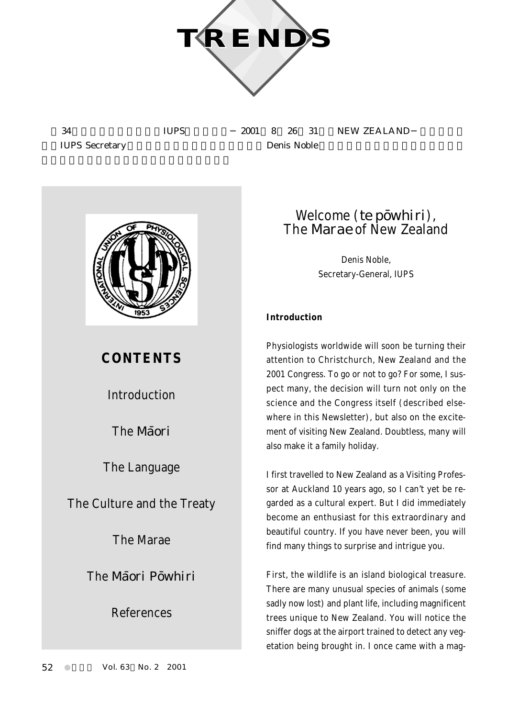

第34回国際生理科学連合(IUPS)世界大会─2001年8月26~31日,NEW ZEALAND─開催にあた IUPS Secretary Denis Noble



# **CONTENTS**

Introduction

The *Maori* 

The Language

The Culture and the Treaty

The Marae

The *Māori Pōwhiri* 

References

## Welcome (*te pōwhiri*), The *Marae* of New Zealand

Denis Noble, Secretary-General, IUPS

### **Introduction**

Physiologists worldwide will soon be turning their attention to Christchurch, New Zealand and the 2001 Congress. To go or not to go? For some, I suspect many, the decision will turn not only on the science and the Congress itself (described elsewhere in this Newsletter), but also on the excitement of visiting New Zealand. Doubtless, many will also make it a family holiday.

I first travelled to New Zealand as a Visiting Professor at Auckland 10 years ago, so I can't yet be regarded as a cultural expert. But I did immediately become an enthusiast for this extraordinary and beautiful country. If you have never been, you will find many things to surprise and intrigue you.

First, the wildlife is an island biological treasure. There are many unusual species of animals (some sadly now lost) and plant life, including magnificent trees unique to New Zealand. You will notice the sniffer dogs at the airport trained to detect any vegetation being brought in. I once came with a mag-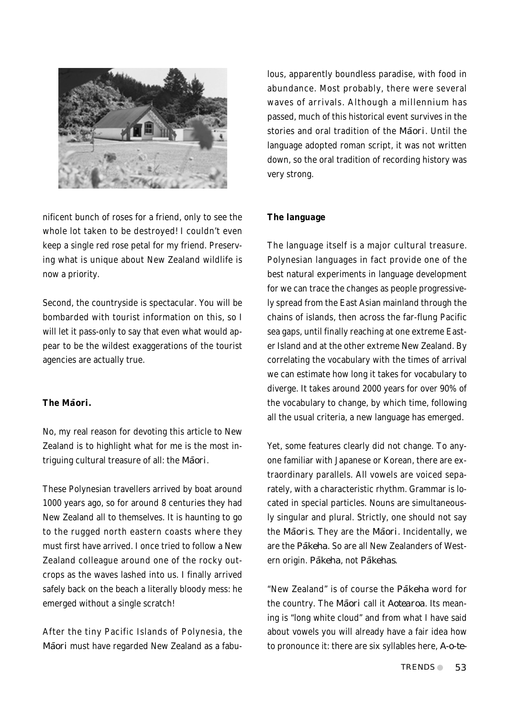

nificent bunch of roses for a friend, only to see the whole lot taken to be destroyed! I couldn't even keep a single red rose petal for my friend. Preserving what is unique about New Zealand wildlife is now a priority.

Second, the countryside is spectacular. You will be bombarded with tourist information on this, so I will let it pass-only to say that even what would appear to be the wildest exaggerations of the tourist agencies are actually true.

#### **The** *Ma¯ori.*

No, my real reason for devoting this article to New Zealand is to highlight what for me is the most intriguing cultural treasure of all: the *Māori*.

These Polynesian travellers arrived by boat around 1000 years ago, so for around 8 centuries they had New Zealand all to themselves. It is haunting to go to the rugged north eastern coasts where they must first have arrived. I once tried to follow a New Zealand colleague around one of the rocky outcrops as the waves lashed into us. I finally arrived safely back on the beach a literally bloody mess: he emerged without a single scratch!

After the tiny Pacific Islands of Polynesia, the *Māori* must have regarded New Zealand as a fabulous, apparently boundless paradise, with food in abundance. Most probably, there were several waves of arrivals. Although a millennium has passed, much of this historical event survives in the stories and oral tradition of the Maori. Until the language adopted roman script, it was not written down, so the oral tradition of recording history was very strong.

#### **The language**

The language itself is a major cultural treasure. Polynesian languages in fact provide one of the best natural experiments in language development for we can trace the changes as people progressively spread from the East Asian mainland through the chains of islands, then across the far-flung Pacific sea gaps, until finally reaching at one extreme Easter Island and at the other extreme New Zealand. By correlating the vocabulary with the times of arrival we can estimate how long it takes for vocabulary to diverge. It takes around 2000 years for over 90% of the vocabulary to change, by which time, following all the usual criteria, a new language has emerged.

Yet, some features clearly did not change. To anyone familiar with Japanese or Korean, there are extraordinary parallels. All vowels are voiced separately, with a characteristic rhythm. Grammar is located in special particles. Nouns are simultaneously singular and plural. Strictly, one should not say the *Māoris*. They are the *Māori*. Incidentally, we are the Pākeha. So are all New Zealanders of Western origin. Pākeha, not Pākehas.

"New Zealand" is of course the *Pākeha* word for the country. The Maori call it Aotearoa. Its meaning is "long white cloud" and from what I have said about vowels you will already have a fair idea how to pronounce it: there are six syllables here, *A-o-te-*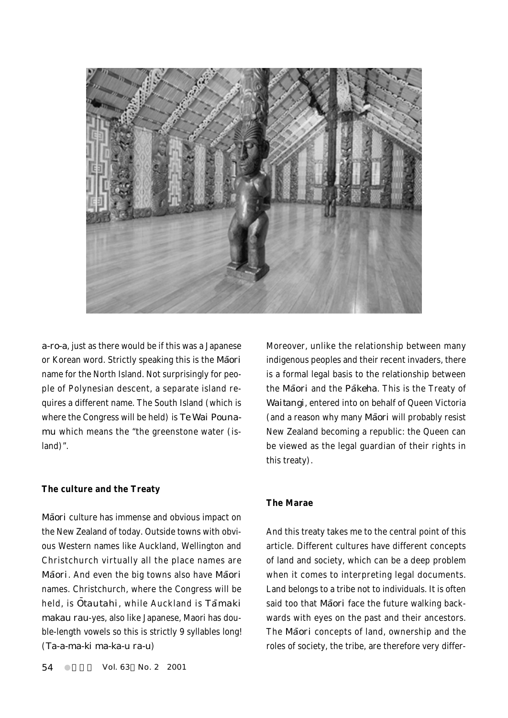

*a-ro-a*, just as there would be if this was a Japanese or Korean word. Strictly speaking this is the Maori name for the North Island. Not surprisingly for people of Polynesian descent, a separate island requires a different name. The South Island (which is where the Congress will be held) is *Te Wai Pounamu* which means the "the greenstone water (island)".

#### **The culture and the Treaty**

Maori culture has immense and obvious impact on the New Zealand of today. Outside towns with obvious Western names like Auckland, Wellington and Christchurch virtually all the place names are *Māori*. And even the big towns also have Māori names. Christchurch, where the Congress will be held, is *Ōtautahi*, while Auckland is Tāmaki *makau rau*-yes, also like Japanese, Maori has double-length vowels so this is strictly 9 syllables long! (*Ta-a-ma-ki ma-ka-u ra-u*)

Moreover, unlike the relationship between many indigenous peoples and their recent invaders, there is a formal legal basis to the relationship between the *Māori* and the *Pākeha*. This is the Treaty of *Waitangi*, entered into on behalf of Queen Victoria (and a reason why many Maori will probably resist New Zealand becoming a republic: the Queen can be viewed as the legal guardian of their rights in this treaty).

#### **The Marae**

And this treaty takes me to the central point of this article. Different cultures have different concepts of land and society, which can be a deep problem when it comes to interpreting legal documents. Land belongs to a tribe not to individuals. It is often said too that *Māori* face the future walking backwards with eyes on the past and their ancestors. The *Maori* concepts of land, ownership and the roles of society, the tribe, are therefore very differ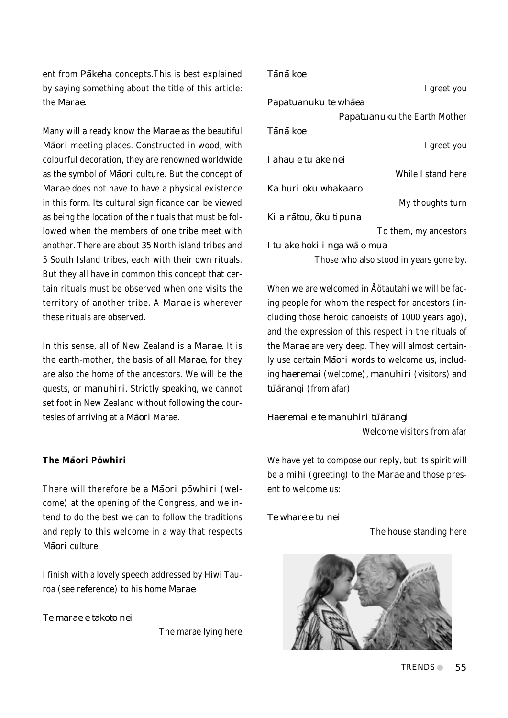ent from *Pākeha* concepts. This is best explained by saying something about the title of this article: the *Marae*.

Many will already know the *Marae* as the beautiful *Māori* meeting places. Constructed in wood, with colourful decoration, they are renowned worldwide as the symbol of *Māori* culture. But the concept of *Marae* does not have to have a physical existence in this form. Its cultural significance can be viewed as being the location of the rituals that must be followed when the members of one tribe meet with another. There are about 35 North island tribes and 5 South Island tribes, each with their own rituals. But they all have in common this concept that certain rituals must be observed when one visits the territory of another tribe. A *Marae* is wherever these rituals are observed.

In this sense, all of New Zealand is a *Marae*. It is the earth-mother, the basis of all *Marae*, for they are also the home of the ancestors. We will be the guests, or *manuhiri*. Strictly speaking, we cannot set foot in New Zealand without following the courtesies of arriving at a *Māori* Marae.

#### **The** *Ma¯ori Po¯whiri*

There will therefore be a *Māori pōwhiri* (welcome) at the opening of the Congress, and we intend to do the best we can to follow the traditions and reply to this welcome in a way that respects *Māori* culture.

I finish with a lovely speech addressed by Hiwi Tauroa (see reference) to his home *Marae*

*Te marae e takoto nei*

The marae lying here

| I greet you                            |
|----------------------------------------|
| Papatuanuku te whāea                   |
| <i>Papatuanuku</i> the Earth Mother    |
| Tānā koe                               |
| I greet you                            |
| I ahau e tu ake nei                    |
| While I stand here                     |
| Ka huri oku whakaaro                   |
| My thoughts turn                       |
| Ki a rātou, ōku tipuna                 |
| To them, my ancestors                  |
| I tu ake hoki i nga wā o mua           |
| Those who also stood in years gone by. |

*Ta¯na¯ koe*

When we are welcomed in Åötautahi we will be facing people for whom the respect for ancestors (including those heroic canoeists of 1000 years ago), and the expression of this respect in the rituals of the *Marae* are very deep. They will almost certainly use certain *Māori* words to welcome us, including *haeremai* (welcome), *manuhiri* (visitors) and *tu¯a¯rangi* (from afar)

*Haeremai e te manuhiri tu¯a¯rangi* Welcome visitors from afar

We have yet to compose our reply, but its spirit will be a *mihi* (greeting) to the *Marae* and those present to welcome us:

#### *Te whare e tu nei*

The house standing here